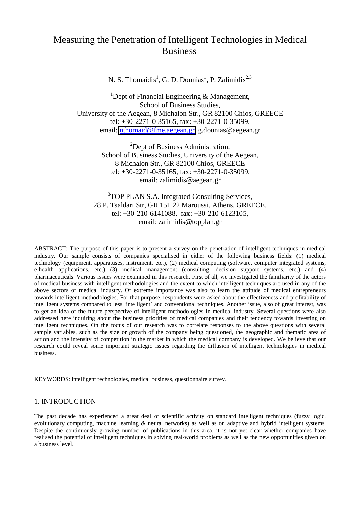# Measuring the Penetration of Intelligent Technologies in Medical Business

N. S. Thomaidis<sup>1</sup>, G. D. Dounias<sup>1</sup>, P. Zalimidis<sup>2,3</sup>

<sup>1</sup>Dept of Financial Engineering  $\&$  Management, School of Business Studies, University of the Aegean, 8 Michalon Str., GR 82100 Chios, GREECE tel: +30-2271-0-35165, fax: +30-2271-0-35099, email: [nthomaid@fme.aegean.gr,](mailto:nthomaid@fme.aegean.gr) g.dounias@aegean.gr

> <sup>2</sup>Dept of Business Administration, School of Business Studies, University of the Aegean, 8 Michalon Str., GR 82100 Chios, GREECE tel: +30-2271-0-35165, fax: +30-2271-0-35099, email: zalimidis@aegean.gr

<sup>3</sup>TOP PLAN S.A. Integrated Consulting Services, 28 P. Tsaldari Str, GR 151 22 Maroussi, Athens, GREECE, tel: +30-210-6141088, fax: +30-210-6123105, email: zalimidis@topplan.gr

ABSTRACT: The purpose of this paper is to present a survey on the penetration of intelligent techniques in medical industry. Our sample consists of companies specialised in either of the following business fields: (1) medical technology (equipment, apparatuses, instrument, etc.), (2) medical computing (software, computer integrated systems, e-health applications, etc.) (3) medical management (consulting, decision support systems, etc.) and (4) pharmaceuticals. Various issues were examined in this research. First of all, we investigated the familiarity of the actors of medical business with intelligent methodologies and the extent to which intelligent techniques are used in any of the above sectors of medical industry. Of extreme importance was also to learn the attitude of medical entrepreneurs towards intelligent methodologies. For that purpose, respondents were asked about the effectiveness and profitability of intelligent systems compared to less 'intelligent' and conventional techniques. Another issue, also of great interest, was to get an idea of the future perspective of intelligent methodologies in medical industry. Several questions were also addressed here inquiring about the business priorities of medical companies and their tendency towards investing on intelligent techniques. On the focus of our research was to correlate responses to the above questions with several sample variables, such as the size or growth of the company being questioned, the geographic and thematic area of action and the intensity of competition in the market in which the medical company is developed. We believe that our research could reveal some important strategic issues regarding the diffusion of intelligent technologies in medical business.

KEYWORDS: intelligent technologies, medical business, questionnaire survey.

## 1. INTRODUCTION

The past decade has experienced a great deal of scientific activity on standard intelligent techniques (fuzzy logic, evolutionary computing, machine learning & neural networks) as well as on adaptive and hybrid intelligent systems. Despite the continuously growing number of publications in this area, it is not yet clear whether companies have realised the potential of intelligent techniques in solving real-world problems as well as the new opportunities given on a business level.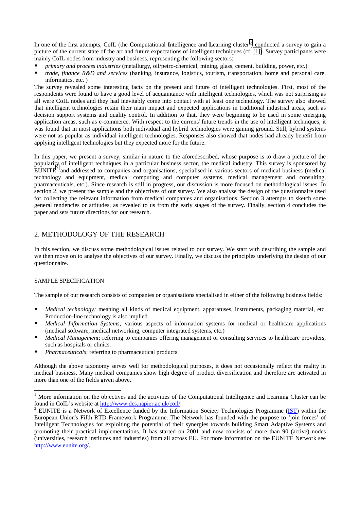In one of the first attempts, CoIL (the **Co**mputational Intelligence and Learning cluster<sup>1</sup>) conducted a survey to gain a picture of the current state of the art and future expectations of intelligent techniques (cf. [\[1\]\)](#page-6-0). Survey participants were mainly CoIL nodes from industry and business, representing the following sectors:

- ! *primary and process industries* (metallurgy, oil/petro-chemical, mining, glass, cement, building, power, etc.)
- ! *trade, finance R&D and services* (banking, insurance, logistics, tourism, transportation, home and personal care, informatics, etc. )

The survey revealed some interesting facts on the present and future of intelligent technologies. First, most of the respondents were found to have a good level of acquaintance with intelligent technologies, which was not surprising as all were CoIL nodes and they had inevitably come into contact with at least one technology. The survey also showed that intelligent technologies retain their main impact and expected applications in traditional industrial areas, such as decision support systems and quality control. In addition to that, they were beginning to be used in some emerging application areas, such as e-commerce. With respect to the current/ future trends in the use of intelligent techniques, it was found that in most applications both individual and hybrid technologies were gaining ground. Still, hybrid systems were not as popular as individual intelligent technologies. Responses also showed that nodes had already benefit from applying intelligent technologies but they expected more for the future.

In this paper, we present a survey, similar in nature to the aforedescribed, whose purpose is to draw a picture of the popularity of intelligent techniques in a particular business sector, the medical industry. This survey is sponsored by  $\text{EUNITE}^2$  and addressed to companies and organisations, specialised in various sectors of medical business (medical technology and equipment, medical computing and computer systems, medical management and consulting, pharmaceuticals, etc.). Since research is still in progress, our discussion is more focused on methodological issues. In section 2, we present the sample and the objectives of our survey. We also analyse the design of the questionnaire used for collecting the relevant information from medical companies and organisations. Section 3 attempts to sketch some general tendencies or attitudes, as revealed to us from the early stages of the survey. Finally, section 4 concludes the paper and sets future directions for our research.

# 2. METHODOLOGY OF THE RESEARCH

In this section, we discuss some methodological issues related to our survey. We start with describing the sample and we then move on to analyse the objectives of our survey. Finally, we discuss the principles underlying the design of our questionnaire.

# SAMPLE SPECIFICATION

l

The sample of our research consists of companies or organisations specialised in either of the following business fields:

- ! *Medical technology;* meaning all kinds of medical equipment, apparatuses, instruments, packaging material, etc. Production-line technology is also implied.
- ! *Medical Information Systems;* various aspects of information systems for medical or healthcare applications (medical software, medical networking, computer integrated systems, etc.)
- *Medical Management*; referring to companies offering management or consulting services to healthcare providers, such as hospitals or clinics.
- ! *Pharmaceuticals*; referring to pharmaceutical products.

Although the above taxonomy serves well for methodological purposes, it does not occasionally reflect the reality in medical business. Many medical companies show high degree of product diversification and therefore are activated in more than one of the fields given above.

<sup>&</sup>lt;sup>1</sup> More information on the objectives and the activities of the Computational Intelligence and Learning Cluster can be found in CoIL's website at http://www.dcs.napier.ac.uk/coil/. 2

<sup>&</sup>lt;sup>2</sup> EUNITE is a Network of Excellence funded by the Information Society Technologies Programme (IST) within the European Union's Fifth RTD Framework Programme. The Network has founded with the purpose to 'join forces' of Intelligent Technologies for exploiting the potential of their synergies towards building Smart Adaptive Systems and promoting their practical implementations. It has started on 2001 and now consists of more than 90 (active) nodes (universities, research institutes and industries) from all across EU. For more information on the EUNITE Network see http://www.eunite.org/.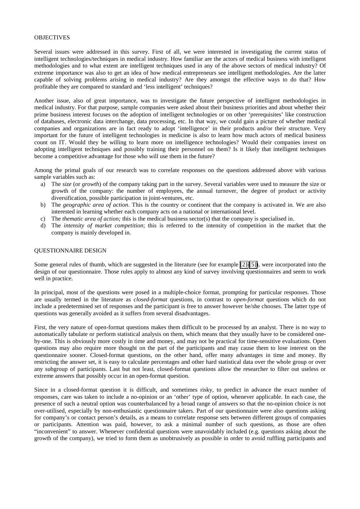#### OBJECTIVES

Several issues were addressed in this survey. First of all, we were interested in investigating the current status of intelligent technologies/techniques in medical industry. How familiar are the actors of medical business with intelligent methodologies and to what extent are intelligent techniques used in any of the above sectors of medical industry? Of extreme importance was also to get an idea of how medical entrepreneurs see intelligent methodologies. Are the latter capable of solving problems arising in medical industry? Are they amongst the effective ways to do that? How profitable they are compared to standard and 'less intelligent' techniques?

Another issue, also of great importance, was to investigate the future perspective of intelligent methodologies in medical industry. For that purpose, sample companies were asked about their business priorities and about whether their prime business interest focuses on the adoption of intelligent technologies or on other 'prerequisites' like construction of databases, electronic data interchange, data processing, etc. In that way, we could gain a picture of whether medical companies and organizations are in fact ready to adopt 'intelligence' in their products and/or their structure. Very important for the future of intelligent technologies in medicine is also to learn how much actors of medical business count on IT. Would they be willing to learn more on intelligence technologies? Would their companies invest on adopting intelligent techniques and possibly training their personnel on them? Is it likely that intelligent techniques become a competitive advantage for those who will use them in the future?

Among the primal goals of our research was to correlate responses on the questions addressed above with various sample variables such as:

- a) The *size* (or *growth*) of the company taking part in the survey. Several variables were used to measure the size or growth of the company: the number of employees, the annual turnover, the degree of product or activity diversification, possible participation in joint-ventures, etc.
- b) The *geographic area of action*. This is the country or continent that the company is activated in. We are also interested in learning whether each company acts on a national or international level.
- c) The *thematic area of action;* this is the medical business sector(s) that the company is specialised in.
- d) The *intensity of market competition*; this is referred to the intensity of competition in the market that the company is mainly developed in.

#### QUESTIONNAIRE DESIGN

Some general rules of thumb, which are suggested in the literature (see for example [\[2\]-\[5\]\)](#page-6-0), were incorporated into the design of our questionnaire. Those rules apply to almost any kind of survey involving questionnaires and seem to work well in practice.

In principal, most of the questions were posed in a multiple-choice format, prompting for particular responses. Those are usually termed in the literature as *closed-format* questions, in contrast to *open-format* questions which do not include a predetermined set of responses and the participant is free to answer however he/she chooses. The latter type of questions was generally avoided as it suffers from several disadvantages.

First, the very nature of open-format questions makes them difficult to be processed by an analyst. There is no way to automatically tabulate or perform statistical analysis on them, which means that they usually have to be considered oneby-one. This is obviously more costly in time and money, and may not be practical for time-sensitive evaluations. Open questions may also require more thought on the part of the participants and may cause them to lose interest on the questionnaire sooner. Closed-format questions, on the other hand, offer many advantages in time and money. By restricting the answer set, it is easy to calculate percentages and other hard statistical data over the whole group or over any subgroup of participants. Last but not least, closed-format questions allow the researcher to filter out useless or extreme answers that possibly occur in an open-format question.

Since in a closed-format question it is difficult, and sometimes risky, to predict in advance the exact number of responses, care was taken to include a no-opinion or an 'other' type of option, whenever applicable. In each case, the presence of such a neutral option was counterbalanced by a broad range of answers so that the no-opinion choice is not over-utilised, especially by non-enthusiastic questionnaire takers. Part of our questionnaire were also questions asking for company's or contact person's details, as a means to correlate response sets between different groups of companies or participants. Attention was paid, however, to ask a minimal number of such questions, as those are often "inconvenient" to answer. Whenever confidential questions were unavoidably included (e.g. questions asking about the growth of the company), we tried to form them as unobtrusively as possible in order to avoid ruffling participants and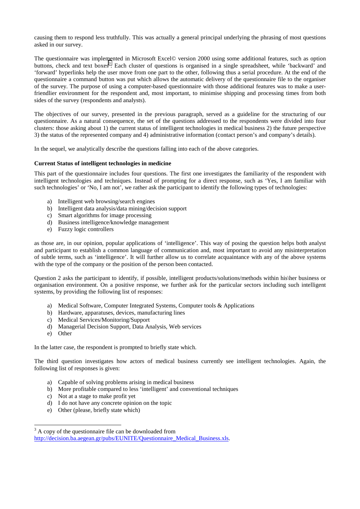causing them to respond less truthfully. This was actually a general principal underlying the phrasing of most questions asked in our survey.

The questionnaire was implemented in Microsoft Excel© version 2000 using some additional features, such as option buttons, check and text boxes<sup>3</sup>. Each cluster of questions is organised in a single spreadsheet, while 'backward' and 'forward' hyperlinks help the user move from one part to the other, following thus a serial procedure. At the end of the questionnaire a command button was put which allows the automatic delivery of the questionnaire file to the organiser of the survey. The purpose of using a computer-based questionnaire with those additional features was to make a userfriendlier environment for the respondent and, most important, to minimise shipping and processing times from both sides of the survey (respondents and analysts).

The objectives of our survey, presented in the previous paragraph, served as a guideline for the structuring of our questionnaire. As a natural consequence, the set of the questions addressed to the respondents were divided into four clusters: those asking about 1) the current status of intelligent technologies in medical business 2) the future perspective 3) the status of the represented company and 4) administrative information (contact person's and company's details).

In the sequel, we analytically describe the questions falling into each of the above categories.

#### **Current Status of intelligent technologies in medicine**

This part of the questionnaire includes four questions. The first one investigates the familiarity of the respondent with intelligent technologies and techniques. Instead of prompting for a direct response, such as 'Yes, I am familiar with such technologies' or 'No, I am not', we rather ask the participant to identify the following types of technologies:

- a) Intelligent web browsing/search engines
- b) Intelligent data analysis/data mining/decision support
- c) Smart algorithms for image processing
- d) Business intelligence/knowledge management
- e) Fuzzy logic controllers

as those are, in our opinion, popular applications of 'intelligence'. This way of posing the question helps both analyst and participant to establish a common language of communication and, most important to avoid any misinterpretation of subtle terms, such as 'intelligence'. It will further allow us to correlate acquaintance with any of the above systems with the type of the company or the position of the person been contacted.

Question 2 asks the participant to identify, if possible, intelligent products/solutions/methods within his\her business or organisation environment. On a positive response, we further ask for the particular sectors including such intelligent systems, by providing the following list of responses:

- a) Medical Software, Computer Integrated Systems, Computer tools & Applications
- b) Hardware, apparatuses, devices, manufacturing lines
- c) Medical Services/Monitoring/Support
- d) Managerial Decision Support, Data Analysis, Web services
- e) Other

 $\overline{\phantom{a}}$ 

In the latter case, the respondent is prompted to briefly state which.

The third question investigates how actors of medical business currently see intelligent technologies. Again, the following list of responses is given:

- a) Capable of solving problems arising in medical business
- b) More profitable compared to less 'intelligent' and conventional techniques
- c) Not at a stage to make profit yet
- d) I do not have any concrete opinion on the topic
- e) Other (please, briefly state which)

 $3<sup>3</sup>$  A copy of the questionnaire file can be downloaded from http://decision.ba.aegean.gr/pubs/EUNITE/Questionnaire\_Medical\_Business.xls.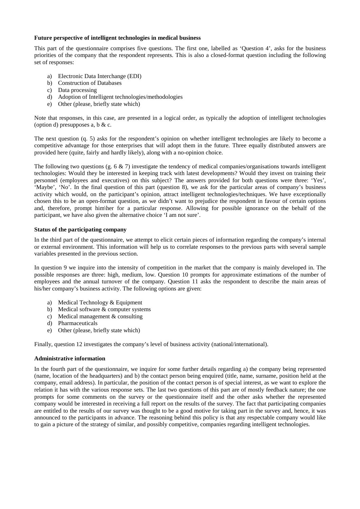#### **Future perspective of intelligent technologies in medical business**

This part of the questionnaire comprises five questions. The first one, labelled as 'Question 4', asks for the business priorities of the company that the respondent represents. This is also a closed-format question including the following set of responses:

- a) Electronic Data Interchange (EDI)
- b) Construction of Databases
- c) Data processing
- d) Adoption of Intelligent technologies/methodologies
- e) Other (please, briefly state which)

Note that responses, in this case, are presented in a logical order, as typically the adoption of intelligent technologies (option d) presupposes a, b  $&c.$ 

The next question (q. 5) asks for the respondent's opinion on whether intelligent technologies are likely to become a competitive advantage for those enterprises that will adopt them in the future. Three equally distributed answers are provided here (quite, fairly and hardly likely), along with a no-opinion choice.

The following two questions (g. 6  $\&$  7) investigate the tendency of medical companies/organisations towards intelligent technologies: Would they be interested in keeping track with latest developments? Would they invest on training their personnel (employees and executives) on this subject? The answers provided for both questions were three: 'Yes', 'Maybe', 'No'. In the final question of this part (question 8), we ask for the particular areas of company's business activity which would, on the participant's opinion, attract intelligent technologies/techniques. We have exceptionally chosen this to be an open-format question, as we didn't want to prejudice the respondent in favour of certain options and, therefore, prompt him\her for a particular response. Allowing for possible ignorance on the behalf of the participant, we have also given the alternative choice 'I am not sure'.

#### **Status of the participating company**

In the third part of the questionnaire, we attempt to elicit certain pieces of information regarding the company's internal or external environment. This information will help us to correlate responses to the previous parts with several sample variables presented in the previous section.

In question 9 we inquire into the intensity of competition in the market that the company is mainly developed in. The possible responses are three: high, medium, low. Question 10 prompts for approximate estimations of the number of employees and the annual turnover of the company. Question 11 asks the respondent to describe the main areas of his/her company's business activity. The following options are given:

- a) Medical Technology & Equipment
- b) Medical software & computer systems
- c) Medical management & consulting
- d) Pharmaceuticals
- e) Other (please, briefly state which)

Finally, question 12 investigates the company's level of business activity (national/international).

#### **Administrative information**

In the fourth part of the questionnaire, we inquire for some further details regarding a) the company being represented (name, location of the headquarters) and b) the contact person being enquired (title, name, surname, position held at the company, email address). In particular, the position of the contact person is of special interest, as we want to explore the relation it has with the various response sets. The last two questions of this part are of mostly feedback nature; the one prompts for some comments on the survey or the questionnaire itself and the other asks whether the represented company would be interested in receiving a full report on the results of the survey. The fact that participating companies are entitled to the results of our survey was thought to be a good motive for taking part in the survey and, hence, it was announced to the participants in advance. The reasoning behind this policy is that any respectable company would like to gain a picture of the strategy of similar, and possibly competitive, companies regarding intelligent technologies.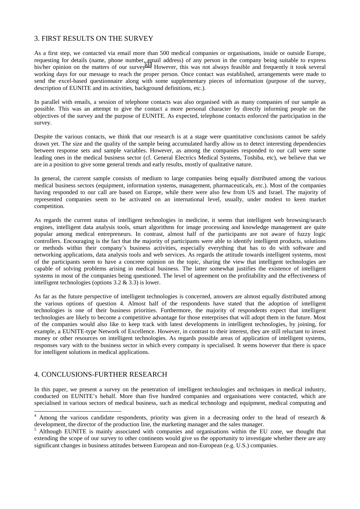# 3. FIRST RESULTS ON THE SURVEY

As a first step, we contacted via email more than 500 medical companies or organisations, inside or outside Europe, requesting for details (name, phone number, email address) of any person in the company being suitable to express his/her opinion on the matters of our survey<sup>4,5</sup>. However, this was not always feasible and frequently it took several working days for our message to reach the proper person. Once contact was established, arrangements were made to send the excel-based questionnaire along with some supplementary pieces of information (purpose of the survey, description of EUNITE and its activities, background definitions, etc.).

In parallel with emails, a session of telephone contacts was also organised with as many companies of our sample as possible. This was an attempt to give the contact a more personal character by directly informing people on the objectives of the survey and the purpose of EUNITE. As expected, telephone contacts enforced the participation in the survey.

Despite the various contacts, we think that our research is at a stage were quantitative conclusions cannot be safely drawn yet. The size and the quality of the sample being accumulated hardly allow us to detect interesting dependencies between response sets and sample variables. However, as among the companies responded to our call were some leading ones in the medical business sector (cf. General Electrics Medical Systems, Toshiba, etc), we believe that we are in a position to give some general trends and early results, mostly of qualitative nature.

In general, the current sample consists of medium to large companies being equally distributed among the various medical business sectors (equipment, information systems, management, pharmaceuticals, etc.). Most of the companies having responded to our call are based on Europe, while there were also few from US and Israel. The majority of represented companies seem to be activated on an international level, usually, under modest to keen market competition.

As regards the current status of intelligent technologies in medicine, it seems that intelligent web browsing/search engines, intelligent data analysis tools, smart algorithms for image processing and knowledge management are quite popular among medical entrepreneurs. In contrast, almost half of the participants are not aware of fuzzy logic controllers. Encouraging is the fact that the majority of participants were able to identify intelligent products, solutions or methods within their company's business activities, especially everything that has to do with software and networking applications, data analysis tools and web services. As regards the attitude towards intelligent systems, most of the participants seem to have a concrete opinion on the topic, sharing the view that intelligent technologies are capable of solving problems arising in medical business. The latter somewhat justifies the existence of intelligent systems in most of the companies being questioned. The level of agreement on the profitability and the effectiveness of intelligent technologies (options 3.2 & 3.3) is lower.

As far as the future perspective of intelligent technologies is concerned, answers are almost equally distributed among the various options of question 4. Almost half of the respondents have stated that the adoption of intelligent technologies is one of their business priorities. Furthermore, the majority of respondents expect that intelligent technologies are likely to become a competitive advantage for those enterprises that will adopt them in the future. Most of the companies would also like to keep track with latest developments in intelligent technologies, by joining, for example, a EUNITE-type Network of Excellence. However, in contrast to their interest, they are still reluctant to invest money or other resources on intelligent technologies. As regards possible areas of application of intelligent systems, responses vary with to the business sector in which every company is specialised. It seems however that there is space for intelligent solutions in medical applications.

## 4. CONCLUSIONS-FURTHER RESEARCH

 $\overline{\phantom{a}}$ 

In this paper, we present a survey on the penetration of intelligent technologies and techniques in medical industry, conducted on EUNITE's behalf. More than five hundred companies and organisations were contacted, which are specialised in various sectors of medical business, such as medical technology and equipment, medical computing and

<sup>&</sup>lt;sup>4</sup> Among the various candidate respondents, priority was given in a decreasing order to the head of research  $\&$ development, the director of the production line, the marketing manager and the sales manager.<br>
<sup>5</sup>. Although, EUNITE is mainly associated with companies and aggorizations within the EU

Although EUNITE is mainly associated with companies and organisations within the EU zone, we thought that extending the scope of our survey to other continents would give us the opportunity to investigate whether there are any significant changes in business attitudes between European and non-European (e.g. U.S.) companies.